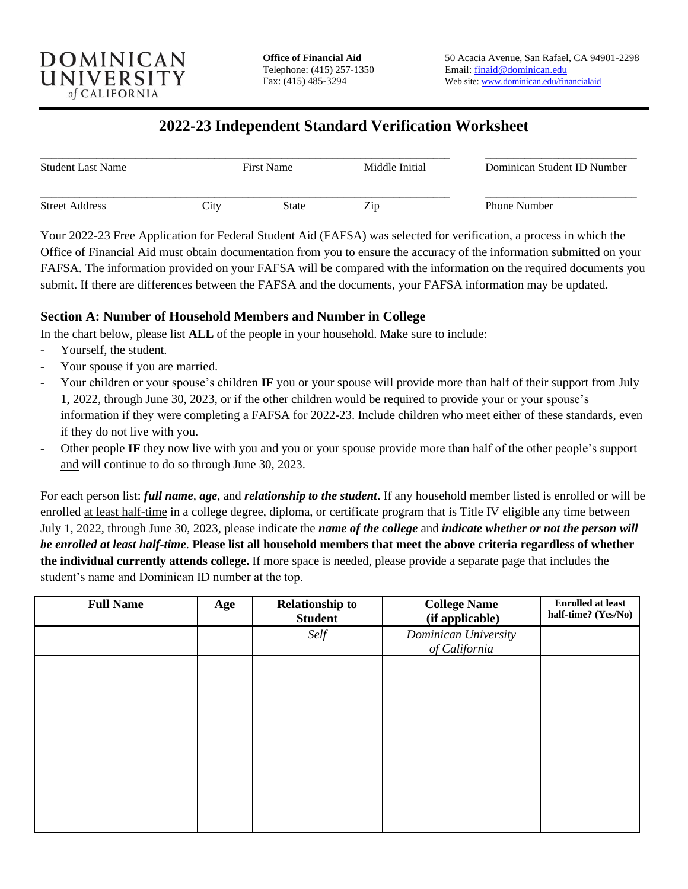

# **2022-23 Independent Standard Verification Worksheet**

| <b>Student Last Name</b> | <b>First Name</b> |       | Middle Initial | Dominican Student ID Number |  |
|--------------------------|-------------------|-------|----------------|-----------------------------|--|
| <b>Street Address</b>    | $\mathcal{L}$ ity | State | Zip            | <b>Phone Number</b>         |  |

Your 2022-23 Free Application for Federal Student Aid (FAFSA) was selected for verification, a process in which the Office of Financial Aid must obtain documentation from you to ensure the accuracy of the information submitted on your FAFSA. The information provided on your FAFSA will be compared with the information on the required documents you submit. If there are differences between the FAFSA and the documents, your FAFSA information may be updated.

#### **Section A: Number of Household Members and Number in College**

In the chart below, please list **ALL** of the people in your household. Make sure to include:

- Yourself, the student.
- Your spouse if you are married.
- Your children or your spouse's children IF you or your spouse will provide more than half of their support from July 1, 2022, through June 30, 2023, or if the other children would be required to provide your or your spouse's information if they were completing a FAFSA for 2022-23. Include children who meet either of these standards, even if they do not live with you.
- Other people IF they now live with you and you or your spouse provide more than half of the other people's support and will continue to do so through June 30, 2023.

For each person list: *full name, age,* and *relationship to the student*. If any household member listed is enrolled or will be enrolled at least half-time in a college degree, diploma, or certificate program that is Title IV eligible any time between July 1, 2022, through June 30, 2023, please indicate the *name of the college* and *indicate whether or not the person will be enrolled at least half-time*. **Please list all household members that meet the above criteria regardless of whether the individual currently attends college.** If more space is needed, please provide a separate page that includes the student's name and Dominican ID number at the top.

| <b>Full Name</b> | Age | <b>Relationship to</b><br><b>Student</b> | <b>College Name</b><br>(if applicable) | <b>Enrolled at least</b><br>half-time? (Yes/No) |
|------------------|-----|------------------------------------------|----------------------------------------|-------------------------------------------------|
|                  |     | Self                                     | Dominican University<br>of California  |                                                 |
|                  |     |                                          |                                        |                                                 |
|                  |     |                                          |                                        |                                                 |
|                  |     |                                          |                                        |                                                 |
|                  |     |                                          |                                        |                                                 |
|                  |     |                                          |                                        |                                                 |
|                  |     |                                          |                                        |                                                 |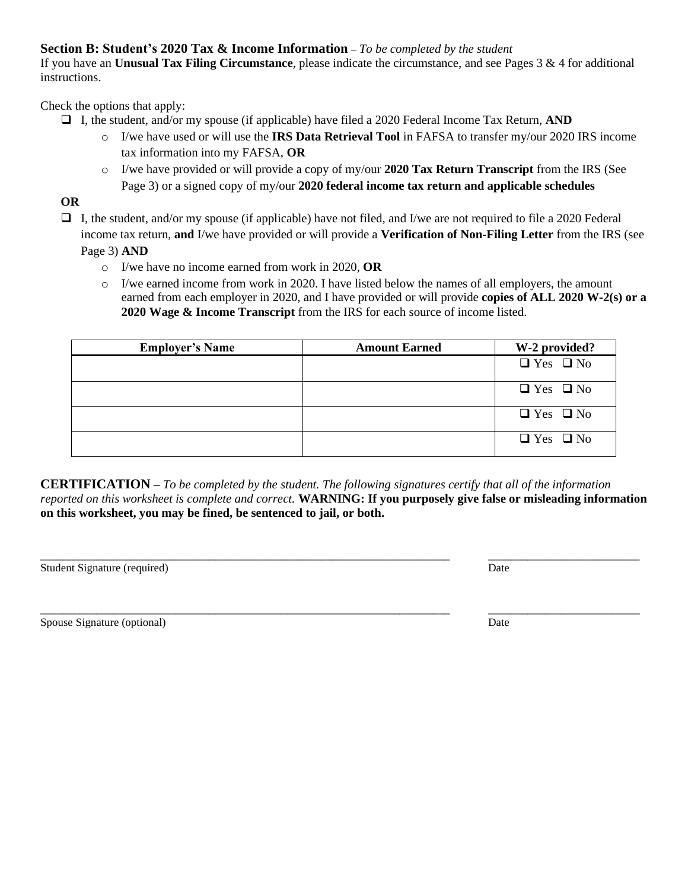#### **Section B: Student's 2020 Tax & Income Information –** *To be completed by the student*

If you have an **Unusual Tax Filing Circumstance**, please indicate the circumstance, and see Pages 3 & 4 for additional instructions.

Check the options that apply:

- ❑ I, the student, and/or my spouse (if applicable) have filed a 2020 Federal Income Tax Return, **AND**
	- o I/we have used or will use the **IRS Data Retrieval Tool** in FAFSA to transfer my/our 2020 IRS income tax information into my FAFSA, **OR**
	- o I/we have provided or will provide a copy of my/our **2020 Tax Return Transcript** from the IRS (See Page 3) or a signed copy of my/our **2020 federal income tax return and applicable schedules**
- **OR**
- ❑ I, the student, and/or my spouse (if applicable) have not filed, and I/we are not required to file a 2020 Federal income tax return, **and** I/we have provided or will provide a **Verification of Non-Filing Letter** from the IRS (see

Page 3) **AND**

- o I/we have no income earned from work in 2020, **OR**
- o I/we earned income from work in 2020. I have listed below the names of all employers, the amount earned from each employer in 2020, and I have provided or will provide **copies of ALL 2020 W-2(s) or a 2020 Wage & Income Transcript** from the IRS for each source of income listed.

| <b>Employer's Name</b> | <b>Amount Earned</b> | W-2 provided?        |
|------------------------|----------------------|----------------------|
|                        |                      | $\Box$ Yes $\Box$ No |
|                        |                      | $\Box$ Yes $\Box$ No |
|                        |                      | $\Box$ Yes $\Box$ No |
|                        |                      | $\Box$ Yes $\Box$ No |

**CERTIFICATION –** *To be completed by the student. The following signatures certify that all of the information reported on this worksheet is complete and correct.* **WARNING: If you purposely give false or misleading information on this worksheet, you may be fined, be sentenced to jail, or both.**

\_\_\_\_\_\_\_\_\_\_\_\_\_\_\_\_\_\_\_\_\_\_\_\_\_\_\_\_\_\_\_\_\_\_\_\_\_\_\_\_\_\_\_\_\_\_\_\_\_\_\_\_\_\_\_\_\_\_\_\_\_\_\_\_\_\_\_\_\_\_\_\_\_ \_\_\_\_\_\_\_\_\_\_\_\_\_\_\_\_\_\_\_\_\_\_\_\_\_\_\_

Student Signature (required) Date

\_\_\_\_\_\_\_\_\_\_\_\_\_\_\_\_\_\_\_\_\_\_\_\_\_\_\_\_\_\_\_\_\_\_\_\_\_\_\_\_\_\_\_\_\_\_\_\_\_\_\_\_\_\_\_\_\_\_\_\_\_\_\_\_\_\_\_\_\_\_\_\_\_ \_\_\_\_\_\_\_\_\_\_\_\_\_\_\_\_\_\_\_\_\_\_\_\_\_\_\_

Spouse Signature (optional) Date **Date** Development of the Spouse Signature (optional) Date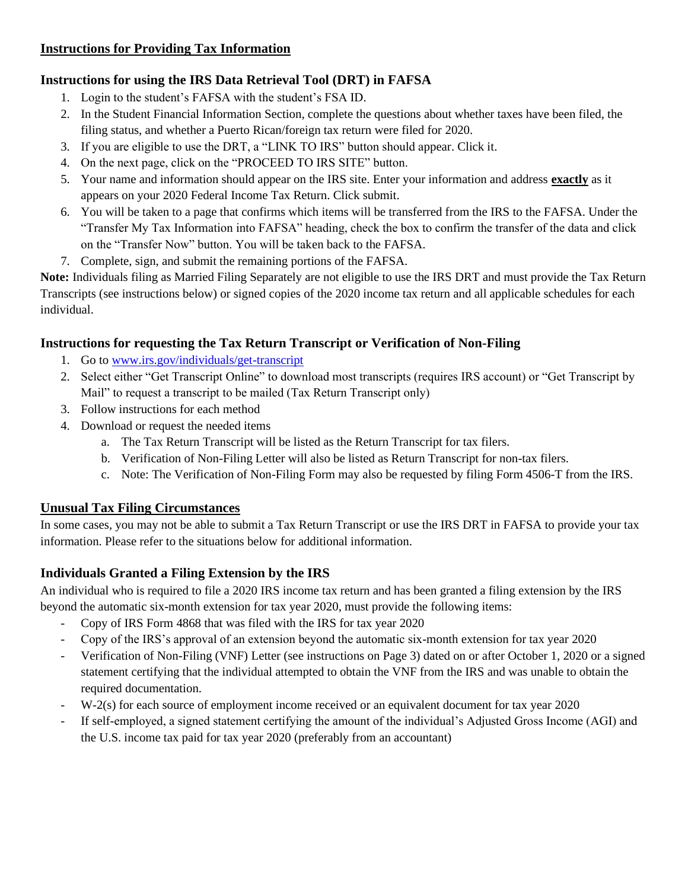## **Instructions for Providing Tax Information**

# **Instructions for using the IRS Data Retrieval Tool (DRT) in FAFSA**

- 1. Login to the student's FAFSA with the student's FSA ID.
- 2. In the Student Financial Information Section, complete the questions about whether taxes have been filed, the filing status, and whether a Puerto Rican/foreign tax return were filed for 2020.
- 3. If you are eligible to use the DRT, a "LINK TO IRS" button should appear. Click it.
- 4. On the next page, click on the "PROCEED TO IRS SITE" button.
- 5. Your name and information should appear on the IRS site. Enter your information and address **exactly** as it appears on your 2020 Federal Income Tax Return. Click submit.
- 6. You will be taken to a page that confirms which items will be transferred from the IRS to the FAFSA. Under the "Transfer My Tax Information into FAFSA" heading, check the box to confirm the transfer of the data and click on the "Transfer Now" button. You will be taken back to the FAFSA.
- 7. Complete, sign, and submit the remaining portions of the FAFSA.

**Note:** Individuals filing as Married Filing Separately are not eligible to use the IRS DRT and must provide the Tax Return Transcripts (see instructions below) or signed copies of the 2020 income tax return and all applicable schedules for each individual.

# **Instructions for requesting the Tax Return Transcript or Verification of Non-Filing**

- 1. Go to [www.irs.gov/individuals/get-transcript](https://www.irs.gov/individuals/get-transcript)
- 2. Select either "Get Transcript Online" to download most transcripts (requires IRS account) or "Get Transcript by Mail" to request a transcript to be mailed (Tax Return Transcript only)
- 3. Follow instructions for each method
- 4. Download or request the needed items
	- a. The Tax Return Transcript will be listed as the Return Transcript for tax filers.
	- b. Verification of Non-Filing Letter will also be listed as Return Transcript for non-tax filers.
	- c. Note: The Verification of Non-Filing Form may also be requested by filing Form 4506-T from the IRS.

# **Unusual Tax Filing Circumstances**

In some cases, you may not be able to submit a Tax Return Transcript or use the IRS DRT in FAFSA to provide your tax information. Please refer to the situations below for additional information.

# **Individuals Granted a Filing Extension by the IRS**

An individual who is required to file a 2020 IRS income tax return and has been granted a filing extension by the IRS beyond the automatic six-month extension for tax year 2020, must provide the following items:

- Copy of IRS Form 4868 that was filed with the IRS for tax year 2020
- Copy of the IRS's approval of an extension beyond the automatic six-month extension for tax year 2020
- Verification of Non-Filing (VNF) Letter (see instructions on Page 3) dated on or after October 1, 2020 or a signed statement certifying that the individual attempted to obtain the VNF from the IRS and was unable to obtain the required documentation.
- W-2(s) for each source of employment income received or an equivalent document for tax year 2020
- If self-employed, a signed statement certifying the amount of the individual's Adjusted Gross Income (AGI) and the U.S. income tax paid for tax year 2020 (preferably from an accountant)